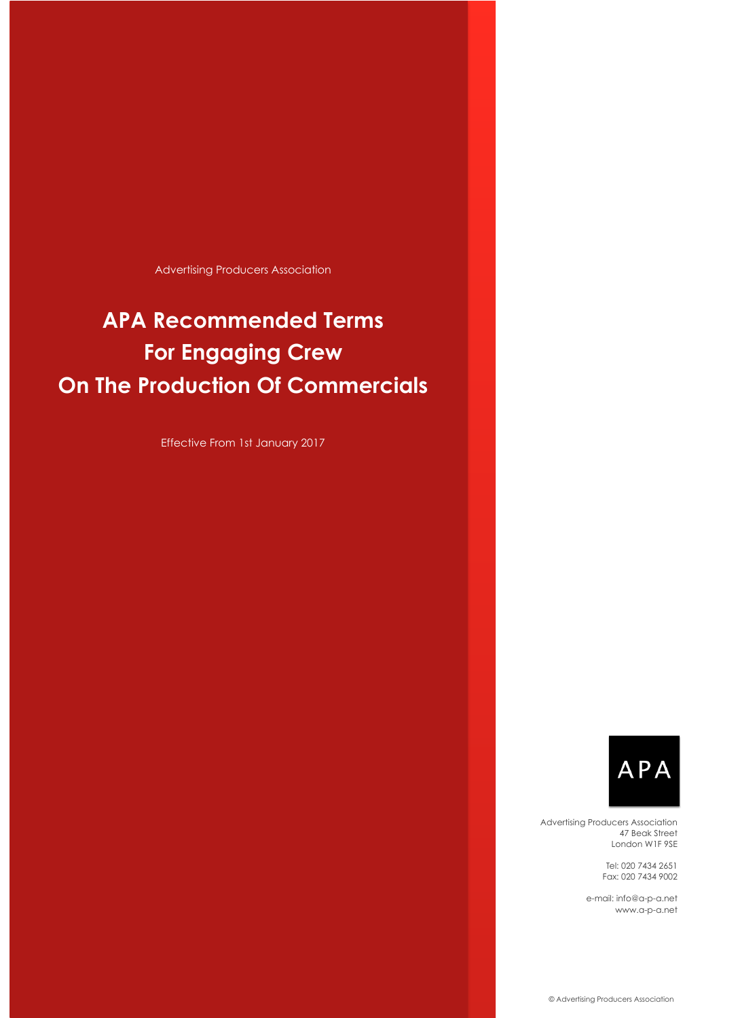Advertising Producers Association

# **APA Recommended Terms For Engaging Crew On The Production Of Commercials**

Effective From 1st January 2017



Advertising Producers Association 47 Beak Street London W1F 9SE

> Tel: 020 7434 2651 Fax: 020 7434 9002

e-mail: [info@a-p-a.net](mailto://(null)info@a-p-a.net) [www.a-p-a.net](http://www.a-p-a.net)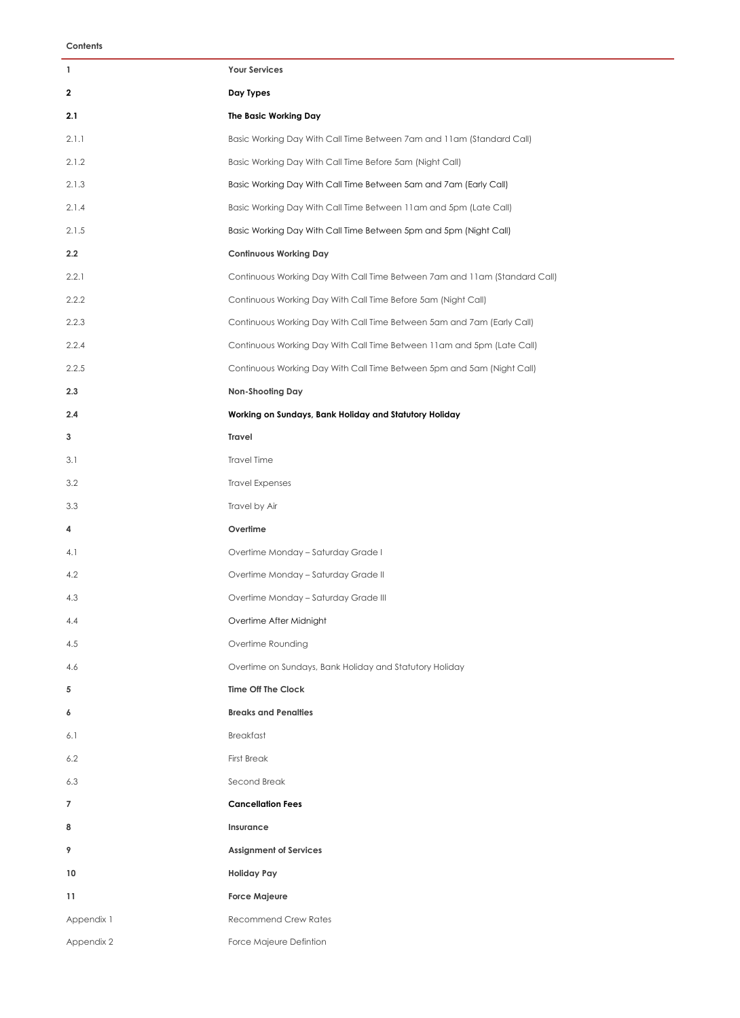| 1          | <b>Your Services</b>                                                       |
|------------|----------------------------------------------------------------------------|
| 2          | Day Types                                                                  |
| 2.1        | The Basic Working Day                                                      |
| 2.1.1      | Basic Working Day With Call Time Between 7am and 11am (Standard Call)      |
| 2.1.2      | Basic Working Day With Call Time Before 5am (Night Call)                   |
| 2.1.3      | Basic Working Day With Call Time Between 5am and 7am (Early Call)          |
| 2.1.4      | Basic Working Day With Call Time Between 11am and 5pm (Late Call)          |
| 2.1.5      | Basic Working Day With Call Time Between 5pm and 5pm (Night Call)          |
| 2.2        | <b>Continuous Working Day</b>                                              |
| 2.2.1      | Continuous Working Day With Call Time Between 7am and 11am (Standard Call) |
| 2.2.2      | Continuous Working Day With Call Time Before 5am (Night Call)              |
| 2.2.3      | Continuous Working Day With Call Time Between 5am and 7am (Early Call)     |
| 2.2.4      | Continuous Working Day With Call Time Between 11am and 5pm (Late Call)     |
| 2.2.5      | Continuous Working Day With Call Time Between 5pm and 5am (Night Call)     |
| 2.3        | Non-Shooting Day                                                           |
| 2.4        | Working on Sundays, Bank Holiday and Statutory Holiday                     |
| 3          | Travel                                                                     |
| 3.1        | <b>Travel Time</b>                                                         |
| 3.2        | <b>Travel Expenses</b>                                                     |
| 3.3        | Travel by Air                                                              |
| 4          | Overtime                                                                   |
| 4.1        | Overtime Monday - Saturday Grade I                                         |
| 4.2        | Overtime Monday - Saturday Grade II                                        |
| 4.3        | Overtime Monday - Saturday Grade III                                       |
| 4.4        | Overtime After Midnight                                                    |
| 4.5        | Overtime Rounding                                                          |
| 4.6        | Overtime on Sundays, Bank Holiday and Statutory Holiday                    |
| 5          | <b>Time Off The Clock</b>                                                  |
| 6          | <b>Breaks and Penalties</b>                                                |
| 6.1        | <b>Breakfast</b>                                                           |
| 6.2        | <b>First Break</b>                                                         |
| 6.3        | Second Break                                                               |
| 7          | <b>Cancellation Fees</b>                                                   |
| 8          | Insurance                                                                  |
| 9          | <b>Assignment of Services</b>                                              |
| 10         | <b>Holiday Pay</b>                                                         |
| 11         | <b>Force Majeure</b>                                                       |
| Appendix 1 | <b>Recommend Crew Rates</b>                                                |
| Appendix 2 | Force Majeure Defintion                                                    |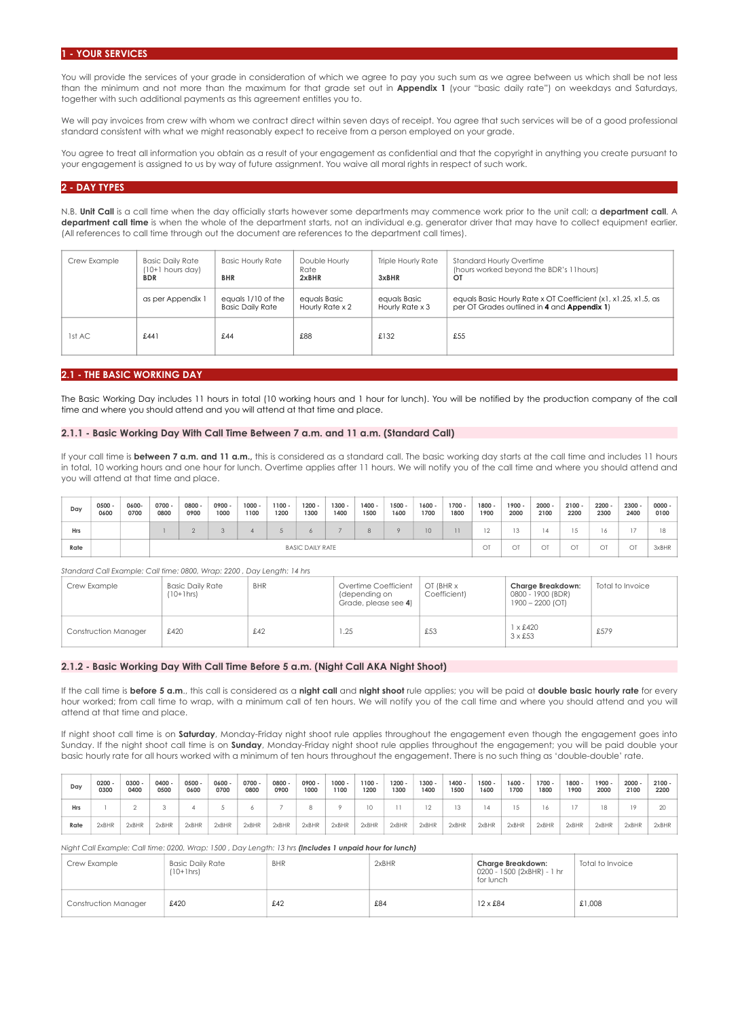#### **1 - YOUR SERVICES**

You will provide the services of your grade in consideration of which we agree to pay you such sum as we agree between us which shall be not less than the minimum and not more than the maximum for that grade set out in **Appendix 1** (your "basic daily rate") on weekdays and Saturdays, together with such additional payments as this agreement entitles you to.

We will pay invoices from crew with whom we contract direct within seven days of receipt. You agree that such services will be of a good professional standard consistent with what we might reasonably expect to receive from a person employed on your grade.

You agree to treat all information you obtain as a result of your engagement as confidential and that the copyright in anything you create pursuant to your engagement is assigned to us by way of future assignment. You waive all moral rights in respect of such work.

## **2 - DAY TYPES**

N.B. **Unit Call** is a call time when the day officially starts however some departments may commence work prior to the unit call; a **department call**. A **department call time** is when the whole of the department starts, not an individual e.g. generator driver that may have to collect equipment earlier. (All references to call time through out the document are references to the department call times).

| Crew Example | Basic Daily Rate<br>$(10+1$ hours day)<br><b>BDR</b> | <b>Basic Hourly Rate</b><br><b>BHR</b>        | Double Hourly<br>Rate<br>2xBHR  | <b>Triple Hourly Rate</b><br>3xBHR     | <b>Standard Hourly Overtime</b><br>(hours worked beyond the BDR's 11 hours)<br>OT                             |
|--------------|------------------------------------------------------|-----------------------------------------------|---------------------------------|----------------------------------------|---------------------------------------------------------------------------------------------------------------|
|              | as per Appendix 1                                    | equals 1/10 of the<br><b>Basic Daily Rate</b> | equals Basic<br>Hourly Rate x 2 | equals Basic<br>Hourly Rate $\times$ 3 | equals Basic Hourly Rate x OT Coefficient (x1, x1.25, x1.5, as<br>per OT Grades outlined in 4 and Appendix 1) |
| 1st AC       | £44]                                                 | £44                                           | £88                             | £132                                   | £55                                                                                                           |

## **2.1 - THE BASIC WORKING DAY**

The Basic Working Day includes 11 hours in total (10 working hours and 1 hour for lunch). You will be notified by the production company of the call time and where you should attend and you will attend at that time and place.

#### **2.1.1 - Basic Working Day With Call Time Between 7 a.m. and 11 a.m. (Standard Call)**

If your call time is **between 7 a.m. and 11 a.m.**, this is considered as a standard call. The basic working day starts at the call time and includes 11 hours in total, 10 working hours and one hour for lunch. Overtime applies after 11 hours. We will notify you of the call time and where you should attend and you will attend at that time and place.

| Day  | $0500 -$<br>0600 | 0600<br>0700 | 0700 -<br>0800 | 0800 -<br>0900          | $0900 -$<br>1000 | $1000 -$<br>1100 | $1100 -$<br>1200 | $1200 -$<br>1300 | $1300 -$<br>1400 | $1400 -$<br>1500 | $1500 -$<br>1600 | $1600 -$<br>1700 | $1700 -$<br>1800 | $1800 -$<br>1900 | $1900 -$<br>2000 | 2000<br>2100 | $2100 -$<br>2200 | $2200 -$<br>2300 | $2300 -$<br>2400 | $0000 -$<br>0100 |
|------|------------------|--------------|----------------|-------------------------|------------------|------------------|------------------|------------------|------------------|------------------|------------------|------------------|------------------|------------------|------------------|--------------|------------------|------------------|------------------|------------------|
| Hrs  |                  |              |                |                         |                  |                  |                  | O                |                  |                  |                  | 10               | 11.              | ∠                |                  |              | ΙJ               | 6                |                  | 18               |
| Rate |                  |              |                | <b>BASIC DAILY RATE</b> |                  |                  |                  |                  |                  |                  |                  |                  |                  | OT               | OT               | $\sim$       | O1               | ОT               | OT               | 3xBHR            |

*Standard Call Example: Call time: 0800, Wrap: 2200 , Day Length: 14 hrs* 

| Crew Example                | <b>Basic Daily Rate</b><br>$(10+1)$ hrs | <b>BHR</b> | Overtime Coefficient<br>(depending on<br>Grade, please see 4) | OT (BHR x<br>Coefficient) | Charge Breakdown:<br>0800 - 1900 (BDR)<br>1900 – 2200 (OT) | Total to Invoice |
|-----------------------------|-----------------------------------------|------------|---------------------------------------------------------------|---------------------------|------------------------------------------------------------|------------------|
| <b>Construction Manager</b> | £420                                    | £42        | 1.25                                                          | £53                       | $1 \times £420$<br>$3 \times £53$                          | £579             |

## **2.1.2 - Basic Working Day With Call Time Before 5 a.m. (Night Call AKA Night Shoot)**

If the call time is **before 5 a.m**., this call is considered as a **night call** and **night shoot** rule applies; you will be paid at **double basic hourly rate** for every hour worked; from call time to wrap, with a minimum call of ten hours. We will notify you of the call time and where you should attend and you will attend at that time and place.

If night shoot call time is on **Saturday**, Monday-Friday night shoot rule applies throughout the engagement even though the engagement goes into Sunday. If the night shoot call time is on **Sunday**, Monday-Friday night shoot rule applies throughout the engagement; you will be paid double your basic hourly rate for all hours worked with a minimum of ten hours throughout the engagement. There is no such thing as 'double-double' rate.

| Day  | 0200<br>0300 | $0300 -$<br>0400 | $0400 -$<br>0500 | $0500 -$<br>0600 | 0600 -<br>0700 | 0700<br>0800 | 0800 -<br>0900 | 0900 -<br>1000 | $1000 -$<br>1100 | $1100 -$<br>1200 | $1200 -$<br>1300 | $1300 -$<br>1400 | $1400 -$<br>1500 | $1500 -$<br>1600 | $1600 -$<br>1700 | 1700 -<br>1800 | 1800<br>1900 | $1900 -$<br>2000 | $2000 -$<br>2100 | $2100 -$<br>2200 |
|------|--------------|------------------|------------------|------------------|----------------|--------------|----------------|----------------|------------------|------------------|------------------|------------------|------------------|------------------|------------------|----------------|--------------|------------------|------------------|------------------|
| Hrs  |              |                  |                  |                  |                |              |                |                |                  |                  |                  |                  |                  |                  |                  |                |              | 18               |                  |                  |
| Rate | 2xBHR        | 2xBHR            | 2xBHR            | 2xBHR            | 2xBHR          | 2xBHR        | 2xBHR          | 2xBHR          | 2xBHR            | 2xBHR            | 2xBHR            | 2xBHR            | 2xBHR            | 2xBHR            | 2xBHR            | 2xBHR          | 2xBHR        | 2xBHR            | 2xBHR            | 2xBHR            |

*Night Call Example: Call time: 0200, Wrap: 1500 , Day Length: 13 hrs (Includes 1 unpaid hour for lunch)*

| Crew Example         | <b>Basic Daily Rate</b><br>$(10+1)$ hrs | <b>BHR</b> | 2xBHR | Charge Breakdown:<br>0200 - 1500 (2xBHR) - 1 hr<br>for lunch | Total to Invoice |
|----------------------|-----------------------------------------|------------|-------|--------------------------------------------------------------|------------------|
| Construction Manager | £420                                    | £42        | £84   | $12 \times £84$                                              | £1,008           |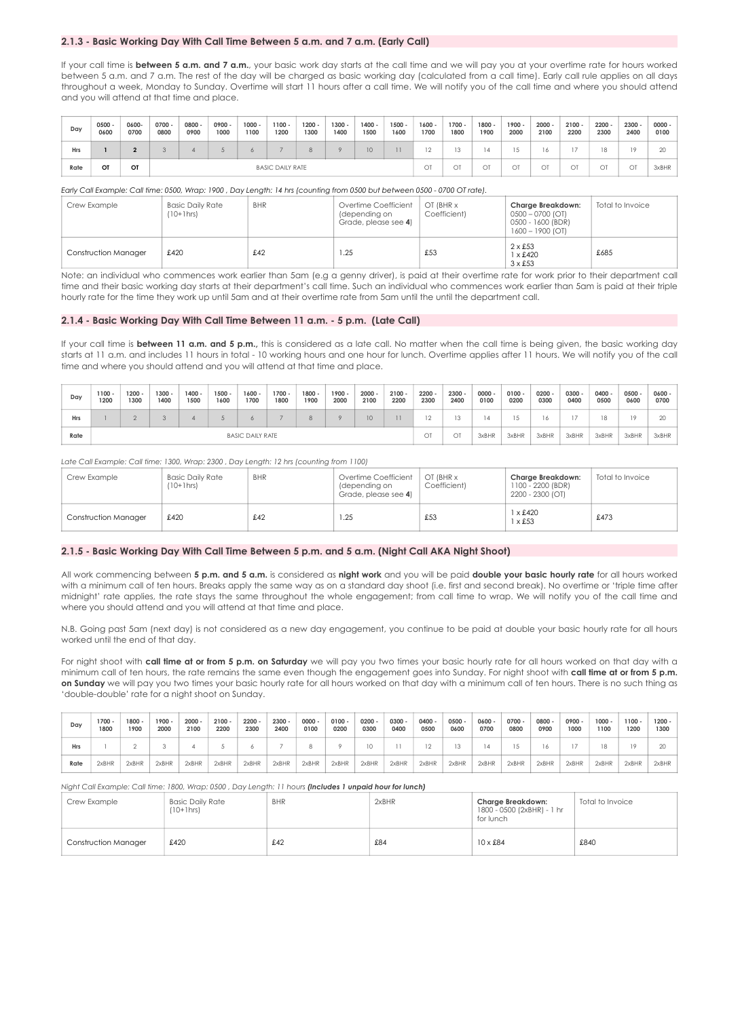## **2.1.3 - Basic Working Day With Call Time Between 5 a.m. and 7 a.m. (Early Call)**

If your call time is **between 5 a.m. and 7 a.m.**, your basic work day starts at the call time and we will pay you at your overtime rate for hours worked between 5 a.m. and 7 a.m. The rest of the day will be charged as basic working day (calculated from a call time). Early call rule applies on all days throughout a week, Monday to Sunday. Overtime will start 11 hours after a call time. We will notify you of the call time and where you should attend and you will attend at that time and place.

| Day        | $0500 -$<br>0600 | 0600-<br>0700 | $0700 -$<br>0800 | 0800 -<br>0900          | $0900 -$<br>1000 | $1000 -$<br>1100 | $1100 -$<br>1200 | 1200<br>1300 | $1300 -$<br>1400 | 1400 -<br>1500 | $1500 -$<br>1600 | $1600 -$<br>1700 | $1700 -$<br>1800 | $1800 -$<br>1900 | $1900 -$<br>2000 | 2000<br>2100 | $2100 -$<br>2200 | $2200 -$<br>2300 | $2300 -$<br>2400 | $0000 -$<br>0100 |
|------------|------------------|---------------|------------------|-------------------------|------------------|------------------|------------------|--------------|------------------|----------------|------------------|------------------|------------------|------------------|------------------|--------------|------------------|------------------|------------------|------------------|
| <b>Hrs</b> |                  |               |                  |                         |                  |                  |                  | 8            | ິ                | 10             |                  |                  | 13               |                  |                  |              |                  | I.R              |                  | 20               |
| Rate       | OT               | OT            |                  | <b>BASIC DAILY RATE</b> |                  |                  |                  |              |                  |                |                  | OT               | OT               | OT               | OT               | $\sim$ T     | O1               | ОT               | OT               | 3xBHR            |

#### *Early Call Example: Call time: 0500, Wrap: 1900 , Day Length: 14 hrs (counting from 0500 but between 0500 - 0700 OT rate).*

| Crew Example                | <b>Basic Daily Rate</b><br>$(10+1)$ hrs | <b>BHR</b> | Overtime Coefficient<br>(depending on<br>Grade, please see 4) | OT (BHR x<br>Coefficient) | Charge Breakdown:<br>$0500 - 0700$ (OT)<br>0500 - 1600 (BDR)<br>$1600 - 1900$ (OT) | Total to Invoice |
|-----------------------------|-----------------------------------------|------------|---------------------------------------------------------------|---------------------------|------------------------------------------------------------------------------------|------------------|
| <b>Construction Manager</b> | £420                                    | £42        | .25                                                           | £53                       | $2 \times £53$<br>$1 \times £420$<br>$3 \times £53$                                | £685             |

Note: an individual who commences work earlier than 5am (e.g a genny driver), is paid at their overtime rate for work prior to their department call time and their basic working day starts at their department's call time. Such an individual who commences work earlier than 5am is paid at their triple hourly rate for the time they work up until 5am and at their overtime rate from 5am until the until the department call.

#### **2.1.4 - Basic Working Day With Call Time Between 11 a.m. - 5 p.m. (Late Call)**

If your call time is **between 11 a.m. and 5 p.m.,** this is considered as a late call. No matter when the call time is being given, the basic working day starts at 11 a.m. and includes 11 hours in total - 10 working hours and one hour for lunch. Overtime applies after 11 hours. We will notify you of the call time and where you should attend and you will attend at that time and place.

| Day  | $1100 -$<br>1200        | $1200 -$<br>1300 | $1300 -$<br>1400 | $1400 -$<br>1500 | $1500 -$<br>1600 | $1600 -$<br>1700 | $1700 -$<br>1800 | $1800 -$<br>1900 | $1900 -$<br>2000 | $2000 -$<br>2100 | $2100 -$<br>2200 | $2200 -$<br>2300 | $2300 -$<br>2400 | $0000 -$<br>0100 | $0100 -$<br>0200 | $0200 -$<br>0300 | $0300 -$<br>0400 | $0400 -$<br>0500 | $0500 -$<br>0600 | 0600 -<br>0700 |
|------|-------------------------|------------------|------------------|------------------|------------------|------------------|------------------|------------------|------------------|------------------|------------------|------------------|------------------|------------------|------------------|------------------|------------------|------------------|------------------|----------------|
| Hrs  |                         |                  |                  |                  |                  |                  |                  | 8                | $\circ$          | 10               |                  |                  | 13               | 4                |                  |                  |                  | '8               |                  | 20             |
| Rate | <b>BASIC DAILY RATE</b> |                  |                  |                  |                  |                  |                  |                  |                  |                  |                  | OT               | OT               | 3xBHR            | 3xBHR            | 3xBHR            | 3xBHR            | 3xBHR            | 3xBHR            | 3xBHR          |

Late Call Example: Call time: 1300, Wrap: 2300, Day Length: 12 hrs (counting from 1100)

| Crew Example                | Basic Daily Rate<br>$(10+1)$ hrs | <b>BHR</b> | Overtime Coefficient<br>(depending on<br>Grade, please see 4) | OT (BHR x<br>Coefficient) | Charge Breakdown:<br>1100 - 2200 (BDR)<br>2200 - 2300 (OT) | Total to Invoice |
|-----------------------------|----------------------------------|------------|---------------------------------------------------------------|---------------------------|------------------------------------------------------------|------------------|
| <b>Construction Manager</b> | £420                             | £42        | 1.25                                                          | £53                       | x £420<br>x £53                                            | £473             |

## **2.1.5 - Basic Working Day With Call Time Between 5 p.m. and 5 a.m. (Night Call AKA Night Shoot)**

All work commencing between **5 p.m. and 5 a.m.** is considered as **night work** and you will be paid **double your basic hourly rate** for all hours worked with a minimum call of ten hours. Breaks apply the same way as on a standard day shoot (i.e. first and second break). No overtime or 'triple time after midnight' rate applies, the rate stays the same throughout the whole engagement; from call time to wrap. We will notify you of the call time and where you should attend and you will attend at that time and place.

N.B. Going past 5am (next day) is not considered as a new day engagement, you continue to be paid at double your basic hourly rate for all hours worked until the end of that day.

For night shoot with **call time at or from 5 p.m. on Saturday** we will pay you two times your basic hourly rate for all hours worked on that day with a minimum call of ten hours, the rate remains the same even though the engagement goes into Sunday. For night shoot with **call time at or from 5 p.m. on Sunday** we will pay you two times your basic hourly rate for all hours worked on that day with a minimum call of ten hours. There is no such thing as 'double-double' rate for a night shoot on Sunday.

| Dav |      | $1700 -$<br>1800 | $1800 -$<br>1900 | $1900 -$<br>2000 | $2000 -$<br>2100 | $2100 -$<br>2200 | $2200 -$<br>2300 | $2300 -$<br>2400 | 0000<br>0100 | $0100 -$<br>0200 | $0200 -$<br>0300 | $0300 -$<br>0400 | $0400 -$<br>0500 | $0500 -$<br>0600 | $0600 -$<br>0700 | $0700 -$<br>0800 | 0800<br>0900 | 0900 -<br>1000 | $1000 -$<br>1100 | $1100 -$<br>1200 | $1200 -$<br>1300 |
|-----|------|------------------|------------------|------------------|------------------|------------------|------------------|------------------|--------------|------------------|------------------|------------------|------------------|------------------|------------------|------------------|--------------|----------------|------------------|------------------|------------------|
| Hrs |      |                  |                  |                  |                  |                  |                  |                  |              |                  |                  |                  |                  | 13               |                  |                  |              |                |                  |                  |                  |
|     | Rate | 2xBHR            | 2xBHR            | 2xBHR            | 2xBHR            | 2xBHR            | 2xBHR            | 2xBHR            | 2xBHR        | 2xBHR            | 2xBHR            | 2xBHR            | 2xBHR            | 2xBHR            | 2xBHR            | 2xBHR            | 2xBHR        | 2xBHR          | 2xBHR            | 2xBHR            | 2xBHR            |

#### *Night Call Example: Call time: 1800, Wrap: 0500 , Day Length: 11 hours (Includes 1 unpaid hour for lunch)*

| Crew Example         | <b>Basic Daily Rate</b><br>$(10+1)$ hrs | <b>BHR</b> | 2xBHR | Charge Breakdown:<br>1800 - 0500 (2xBHR) - 1 hr<br>for lunch | Total to Invoice |
|----------------------|-----------------------------------------|------------|-------|--------------------------------------------------------------|------------------|
| Construction Manager | £420                                    | £42        | £84   | $10 \times £84$                                              | £840             |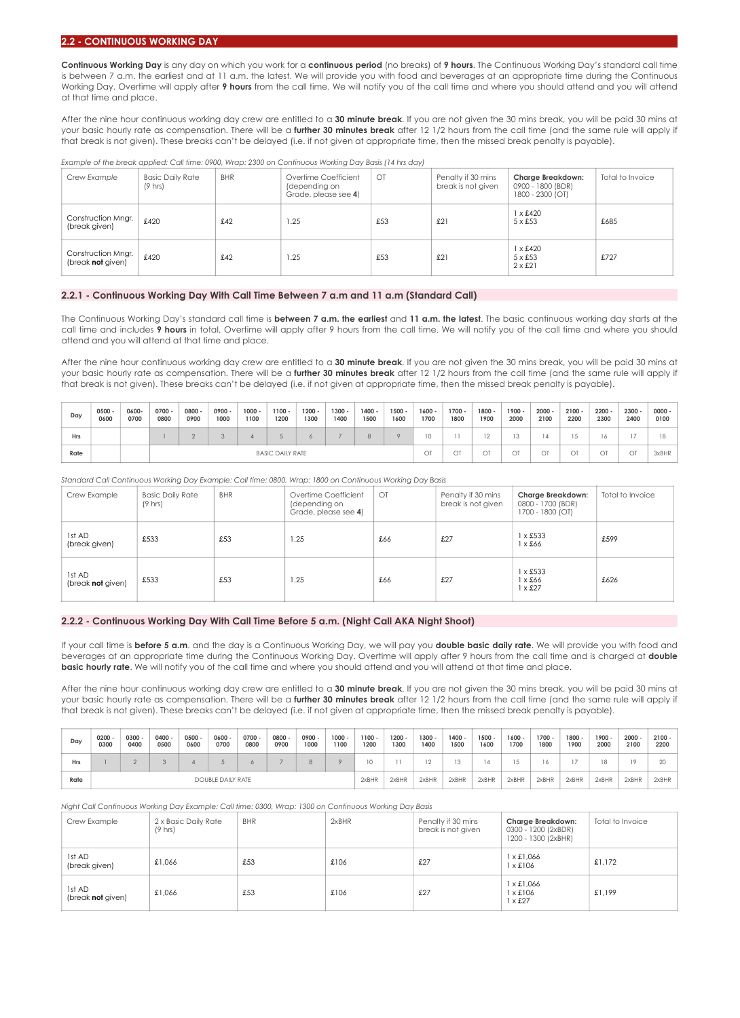#### **2.2 - CONTINUOUS WORKING DAY**

**Continuous Working Day** is any day on which you work for a **continuous period** (no breaks) of **9 hours**. The Continuous Working Day's standard call time is between 7 a.m. the earliest and at 11 a.m. the latest. We will provide you with food and beverages at an appropriate time during the Continuous Working Day. Overtime will apply after **9 hours** from the call time. We will notify you of the call time and where you should attend and you will attend at that time and place.

After the nine hour continuous working day crew are entitled to a **30 minute break**. If you are not given the 30 mins break, you will be paid 30 mins at your basic hourly rate as compensation. There will be a **further 30 minutes break** after 12 1/2 hours from the call time (and the same rule will apply if that break is not given). These breaks can't be delayed (i.e. if not given at appropriate time, then the missed break penalty is payable).

*Example of the break applied: Call time: 0900, Wrap: 2300 on Continuous Working Day Basis (14 hrs day)*

| Crew Example                            | <b>Basic Daily Rate</b><br>$(9 \text{ hrs})$ | <b>BHR</b> | Overtime Coefficient<br>(depending on<br>Grade, please see 4) | $\bigcirc$ | Penalty if 30 mins<br>break is not given | Charge Breakdown:<br>0900 - 1800 (BDR)<br>1800 - 2300 (OT) | Total to Invoice |
|-----------------------------------------|----------------------------------------------|------------|---------------------------------------------------------------|------------|------------------------------------------|------------------------------------------------------------|------------------|
| Construction Mngr.<br>(break given)     | £420                                         | £42        | 1.25                                                          | £53        | £21                                      | $1 \times £420$<br>$5 \times £53$                          | £685             |
| Construction Mngr.<br>(break not given) | £420                                         | £42        | 1.25                                                          | £53        | £21                                      | $1 \times £420$<br>$5 \times £53$<br>$2 \times £21$        | £727             |

#### **2.2.1 - Continuous Working Day With Call Time Between 7 a.m and 11 a.m (Standard Call)**

The Continuous Working Day's standard call time is **between 7 a.m. the earliest** and **11 a.m. the latest**. The basic continuous working day starts at the call time and includes **9 hours** in total. Overtime will apply after 9 hours from the call time. We will notify you of the call time and where you should attend and you will attend at that time and place.

After the nine hour continuous working day crew are entitled to a **30 minute break**. If you are not given the 30 mins break, you will be paid 30 mins at your basic hourly rate as compensation. There will be a **further 30 minutes break** after 12 1/2 hours from the call time (and the same rule will apply if that break is not given). These breaks can't be delayed (i.e. if not given at appropriate time, then the missed break penalty is payable).

| Day  | 0500<br>0600 | 0600-<br>0700 | $0700 -$<br>0800 | $0800 -$<br>0900        | $0900 -$<br>1000 | $1000 -$<br>1100 | $1100 -$<br>1200 | $1200 -$<br>1300 | $1300 -$<br>1400 | 1400 -<br>1500 | $1500 -$<br>1600 | $1600 -$<br>1700 | $1700 -$<br>1800 | $1800 -$<br>1900 | $1900 -$<br>2000 | 2000<br>2100 | $2100 -$<br>2200 | $2200 -$<br>2300 | $2300 -$<br>2400 | $0000 -$<br>0100 |
|------|--------------|---------------|------------------|-------------------------|------------------|------------------|------------------|------------------|------------------|----------------|------------------|------------------|------------------|------------------|------------------|--------------|------------------|------------------|------------------|------------------|
| Hrs  |              |               |                  |                         |                  |                  |                  |                  |                  |                |                  |                  |                  | $\sim$<br>1 Z.   |                  |              | v                | 16               |                  |                  |
| Rate |              |               |                  | <b>BASIC DAILY RATE</b> |                  |                  |                  |                  |                  |                |                  | OT               | OT               | OT               | OT               | OT           | OT               | ОT               | OT               | 3xBHR            |

*Standard Call Continuous Working Day Example: Call time: 0800, Wrap: 1800 on Continuous Working Day Basis* 

| Crew Example                | <b>Basic Daily Rate</b><br>$(9 \text{ hrs})$ | <b>BHR</b> | Overtime Coefficient<br>(depending on<br>Grade, please see 4) | $\overline{C}$ | Penalty if 30 mins<br>break is not given | Charge Breakdown:<br>0800 - 1700 (BDR)<br>1700 - 1800 (OT) | Total to Invoice |
|-----------------------------|----------------------------------------------|------------|---------------------------------------------------------------|----------------|------------------------------------------|------------------------------------------------------------|------------------|
| 1st AD<br>(break given)     | £533                                         | £53        | .25                                                           | £66            | £27                                      | $1 \times £533$<br>$1 \times £66$                          | £599             |
| 1st AD<br>(break not given) | £533                                         | £53        | 1.25                                                          | £66            | £27                                      | $1 \times £533$<br>$1 \times £66$<br>$1 \times £27$        | £626             |

## **2.2.2 - Continuous Working Day With Call Time Before 5 a.m. (Night Call AKA Night Shoot)**

If your call time is **before 5 a.m**. and the day is a Continuous Working Day, we will pay you **double basic daily rate**. We will provide you with food and beverages at an appropriate time during the Continuous Working Day. Overtime will apply after 9 hours from the call time and is charged at **double basic hourly rate**. We will notify you of the call time and where you should attend and you will attend at that time and place.

After the nine hour continuous working day crew are entitled to a **30 minute break**. If you are not given the 30 mins break, you will be paid 30 mins at your basic hourly rate as compensation. There will be a **further 30 minutes break** after 12 1/2 hours from the call time (and the same rule will apply if that break is not given). These breaks can't be delayed (i.e. if not given at appropriate time, then the missed break penalty is payable).

| Day  | 0200<br>0300             | 0300<br>0400 | $0400 -$<br>0500 | $0500 -$<br>0600 | $0600 -$<br>0700 | 0700 -<br>0800 | 0800 -<br>0900 | 0900 -<br>1000 | $1000 -$<br>1100 | $1100 -$<br>1200 | 1200<br>1300 | $1300 -$<br>1400 | $1400 -$<br>1500 | $1500 -$<br>1600 | $1600 -$<br>1700 | $1700 -$<br>1800 | $1800 -$<br>1900 | $1900 -$<br>2000 | $2000 -$<br>2100 | $2100 -$<br>2200 |
|------|--------------------------|--------------|------------------|------------------|------------------|----------------|----------------|----------------|------------------|------------------|--------------|------------------|------------------|------------------|------------------|------------------|------------------|------------------|------------------|------------------|
| Hrs  |                          |              |                  |                  |                  |                |                | 8              |                  | 10               |              |                  |                  |                  |                  |                  |                  | 18               | 19               |                  |
| Rate | <b>DOUBLE DAILY RATE</b> |              |                  |                  |                  |                | 2xBHR          | 2xBHR          | 2xBHR            | 2xBHR            | 2xBHR        | 2xBHR            | 2xBHR            | 2xBHR            | 2xBHR            | 2xBHR            | 2xBHR            |                  |                  |                  |

*Night Call Continuous Working Day Example: Call time: 0300, Wrap: 1300 on Continuous Working Day Basis* 

| Crew Example                | 2 x Basic Daily Rate<br>$(9 \text{ hrs})$ | <b>BHR</b> | 2xBHR | Penalty if 30 mins<br>break is not given | Charge Breakdown:<br>0300 - 1200 (2xBDR)<br>1200 - 1300 (2xBHR) | Total to Invoice |
|-----------------------------|-------------------------------------------|------------|-------|------------------------------------------|-----------------------------------------------------------------|------------------|
| 1st AD<br>(break given)     | £1.066                                    | £53        | £106  | £27                                      | x £1.066<br>x £106                                              | £1.172           |
| 1st AD<br>(break not given) | £1.066                                    | £53        | £106  | £27                                      | x £1.066<br>x £106<br>x £27                                     | £1.199           |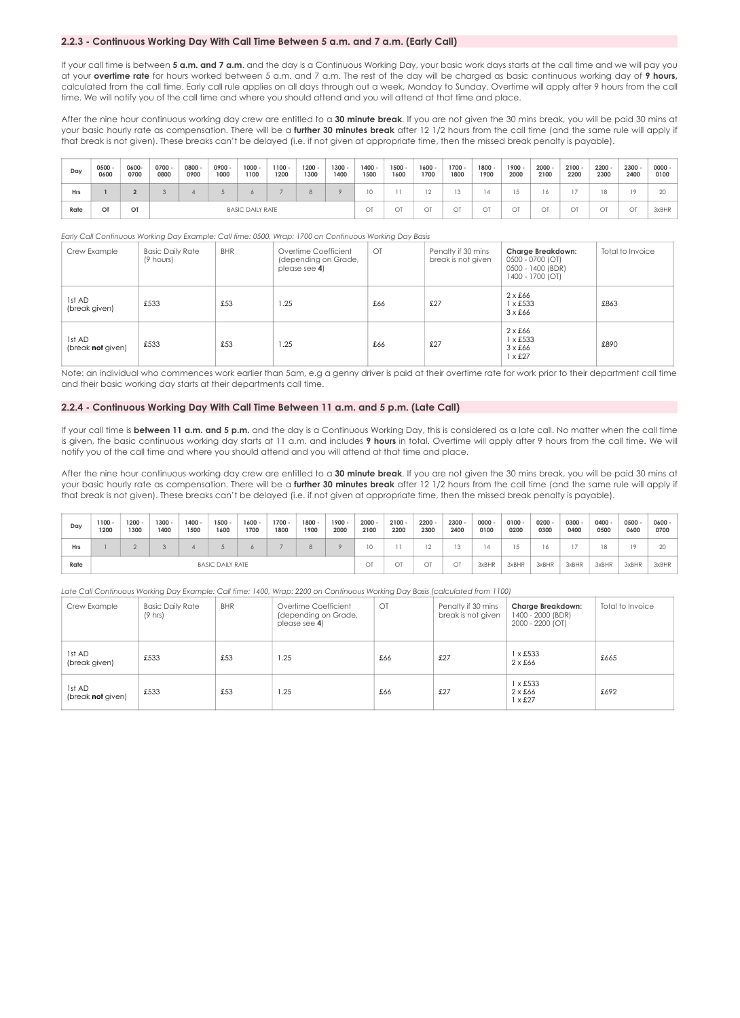## **2.2.3 - Continuous Working Day With Call Time Between 5 a.m. and 7 a.m. (Early Call)**

If your call time is between 5 a.m. and 7 a.m. and the day is a Continuous Working Day, your basic work days starts at the call time and we will pay you at your **overtime rate** for hours worked between 5 a.m. and 7 a.m. The rest of the day will be charged as basic continuous working day of **9 hours,**  calculated from the call time. Early call rule applies on all days through out a week, Monday to Sunday. Overtime will apply after 9 hours from the call time. We will notify you of the call time and where you should attend and you will attend at that time and place.

After the nine hour continuous working day crew are entitled to a **30 minute break**. If you are not given the 30 mins break, you will be paid 30 mins at your basic hourly rate as compensation. There will be a **further 30 minutes break** after 12 1/2 hours from the call time (and the same rule will apply if that break is not given). These breaks can't be delayed (i.e. if not given at appropriate time, then the missed break penalty is payable).

| Day        | $0500 -$<br>0600 | 0600-<br>0700 | $0700 -$<br>0800 | $0800 -$<br>0900        | $0900 -$<br>1000 | $1000 -$<br>1100 | $1100 -$<br>1200 | $1200 -$<br>1300 | $1300 -$<br>1400 | 1400 -<br>1500 | $1500 -$<br>1600 | $1600 -$<br>1700 | $1700 -$<br>1800 | 1800 -<br>1900 | $1900 -$<br>2000 | $2000 -$<br>2100 | $2100 -$<br>2200 | $2200 -$<br>2300 | $2300 -$<br>2400 | $0000 -$<br>0100 |
|------------|------------------|---------------|------------------|-------------------------|------------------|------------------|------------------|------------------|------------------|----------------|------------------|------------------|------------------|----------------|------------------|------------------|------------------|------------------|------------------|------------------|
| <b>Hrs</b> |                  |               |                  |                         |                  |                  |                  | 8                | $\circ$          | 10             |                  |                  | 13               | $\Delta$       |                  |                  |                  | 18               | 1Q               |                  |
| Rate       | OT               | OT            |                  | <b>BASIC DAILY RATE</b> |                  |                  |                  |                  |                  | OT             |                  | ОĪ               | OT               | O1             | OT               | $\cap$ T         | OT               | OT               | OT               | 3xBHR            |

*Early Call Continuous Working Day Example: Call time: 0500, Wrap: 1700 on Continuous Working Day Basis* 

| Crew Example                | <b>Basic Daily Rate</b><br>(9 hours) | <b>BHR</b> | Overtime Coefficient<br>(depending on Grade,<br>please see 4) | OT  | Penalty if 30 mins<br>break is not given | Charge Breakdown:<br>0500 - 0700 (OT)<br>0500 - 1400 (BDR)<br>1400 - 1700 (OT) | Total to Invoice |
|-----------------------------|--------------------------------------|------------|---------------------------------------------------------------|-----|------------------------------------------|--------------------------------------------------------------------------------|------------------|
| 1st AD<br>(break given)     | £533                                 | £53        | 1.25                                                          | £66 | £27                                      | $2 \times £66$<br>$1 \times £533$<br>$3 \times £66$                            | £863             |
| 1st AD<br>(break not given) | £533                                 | £53        | 1.25                                                          | £66 | £27                                      | $2 \times £66$<br>$1 \times £533$<br>$3 \times £66$<br>$1 \times £27$          | £890             |

Note: an individual who commences work earlier than 5am, e.g a genny driver is paid at their overtime rate for work prior to their department call time and their basic working day starts at their departments call time.

## **2.2.4 - Continuous Working Day With Call Time Between 11 a.m. and 5 p.m. (Late Call)**

If your call time is between 11 a.m. and 5 p.m. and the day is a Continuous Working Day, this is considered as a late call. No matter when the call time is given, the basic continuous working day starts at 11 a.m. and includes **9 hours** in total. Overtime will apply after 9 hours from the call time. We will notify you of the call time and where you should attend and you will attend at that time and place.

After the nine hour continuous working day crew are entitled to a **30 minute break**. If you are not given the 30 mins break, you will be paid 30 mins at your basic hourly rate as compensation. There will be a **further 30 minutes break** after 12 1/2 hours from the call time (and the same rule will apply if that break is not given). These breaks can't be delayed (i.e. if not given at appropriate time, then the missed break penalty is payable).

| Dav        | $1100 -$<br>1200        | $1200 -$<br>1300 | $1300 -$<br>1400 | $1400 -$<br>1500 | $1500 -$<br>1600 | $1600 -$<br>1700 | $1700 -$<br>1800 | $1800 -$<br>1900 | $1900 -$<br>2000 | $2000 -$<br>2100 | 2100<br>2200 | $2200 -$<br>2300 | $2300 -$<br>2400 | $0000 -$<br>0100 | $0100 -$<br>0200 | 0200<br>0300 | 0300<br>0400 | $0400 -$<br>0500 | $0500 -$<br>0600 | 0600 -<br>0700 |
|------------|-------------------------|------------------|------------------|------------------|------------------|------------------|------------------|------------------|------------------|------------------|--------------|------------------|------------------|------------------|------------------|--------------|--------------|------------------|------------------|----------------|
| <b>Hrs</b> |                         |                  |                  |                  |                  |                  |                  | 8                |                  | 10               |              |                  | 12               | $\Delta$         |                  |              |              | 18               |                  |                |
| Rate       | <b>BASIC DAILY RATE</b> |                  |                  |                  |                  |                  | OT               | $\sim$           | OT               | OT               | 3xBHR        | 3xBHR            | 3xBHR            | 3xBHR            | 3xBHR            | 3xBHR        | 3xBHR        |                  |                  |                |

*Late Call Continuous Working Day Example: Call time: 1400, Wrap: 2200 on Continuous Working Day Basis (calculated from 1100)*

| Crew Example                | <b>Basic Daily Rate</b><br>$(9 \text{ hrs})$ | <b>BHR</b> | Overtime Coefficient<br>(depending on Grade,<br>please see 4) | $\overline{O}$ | Penalty if 30 mins<br>break is not given | Charge Breakdown:<br>1400 - 2000 (BDR)<br>2000 - 2200 (OT) | Total to Invoice |
|-----------------------------|----------------------------------------------|------------|---------------------------------------------------------------|----------------|------------------------------------------|------------------------------------------------------------|------------------|
| 1st AD<br>(break given)     | £533                                         | £53        | 1.25                                                          | £66            | £27                                      | $1 \times £533$<br>$2 \times £66$                          | £665             |
| 1st AD<br>(break not given) | £533                                         | £53        | 1.25                                                          | £66            | £27                                      | $1 \times £533$<br>$2 \times £66$<br>$1 \times £27$        | £692             |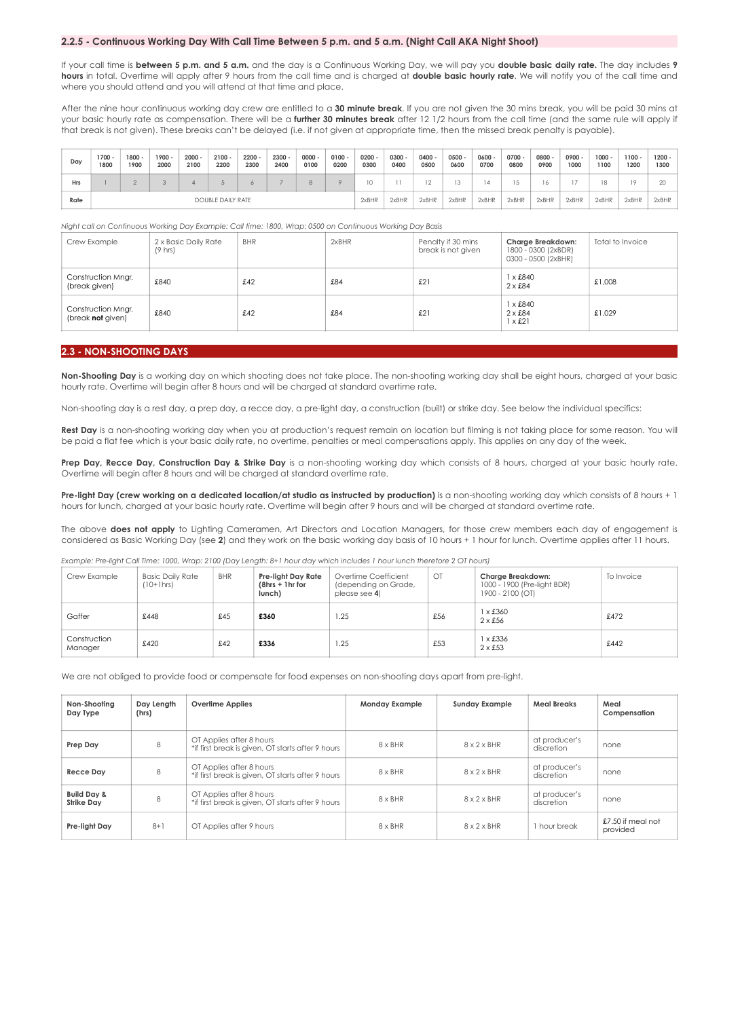## **2.2.5 - Continuous Working Day With Call Time Between 5 p.m. and 5 a.m. (Night Call AKA Night Shoot)**

If your call time is **between 5 p.m. and 5 a.m.** and the day is a Continuous Working Day, we will pay you **double basic daily rate.** The day includes **9 hours** in total. Overtime will apply after 9 hours from the call time and is charged at **double basic hourly rate**. We will notify you of the call time and where you should attend and you will attend at that time and place.

After the nine hour continuous working day crew are entitled to a 30 minute break. If you are not given the 30 mins break, you will be paid 30 mins at your basic hourly rate as compensation. There will be a **further 30 minutes break** after 12 1/2 hours from the call time (and the same rule will apply if that break is not given). These breaks can't be delayed (i.e. if not given at appropriate time, then the missed break penalty is payable).

| Day        | $1700 -$<br>1800         | $1800 -$<br>1900 | $1900 -$<br>2000 | $2000 -$<br>2100 | $2100 -$<br>2200 | 2200<br>2300 | 2300<br>2400 | $0000 -$<br>0100 | $0100 -$<br>0200 | $0200 -$<br>0300 | 0300<br>0400 | $0400 -$<br>0500 | $0500 -$<br>0600 | $0600 -$<br>0700 | $0700 -$<br>0800 | 0800<br>0900 | 0900 -<br>1000 | $1000 -$<br>1100 | $1100 -$<br>1200 | $1200 -$<br>1300 |
|------------|--------------------------|------------------|------------------|------------------|------------------|--------------|--------------|------------------|------------------|------------------|--------------|------------------|------------------|------------------|------------------|--------------|----------------|------------------|------------------|------------------|
| <b>Hrs</b> |                          |                  |                  |                  |                  |              |              | 8                |                  |                  |              |                  | 13               |                  |                  |              |                | 18               |                  |                  |
| Rate       | <b>DOUBLE DAILY RATE</b> |                  |                  |                  |                  |              |              | 2xBHR            | 2xBHR            | 2xBHR            | 2xBHR        | 2xBHR            | 2xBHR            | 2xBHR            | 2xBHR            | 2xBHR        | 2xBHR          | 2xBHR            |                  |                  |

*Night call on Continuous Working Day Example: Call time: 1800, Wrap: 0500 on Continuous Working Day Basis* 

| Crew Example                            | 2 x Basic Daily Rate<br>$(9 \text{ hrs})$ | <b>BHR</b> | 2xBHR | Penalty if 30 mins<br>break is not given | Charge Breakdown:<br>1800 - 0300 (2xBDR)<br>0300 - 0500 (2xBHR) | Total to Invoice |
|-----------------------------------------|-------------------------------------------|------------|-------|------------------------------------------|-----------------------------------------------------------------|------------------|
| Construction Mngr.<br>(break given)     | £840                                      | £42        | £84   | £21                                      | $1 \times £840$<br>$2 \times £84$                               | £1.008           |
| Construction Mngr.<br>(break not given) | £840                                      | £42        | £84   | £21                                      | $1 \times £840$<br>$2 \times £84$<br>$1 \times £21$             | £1.029           |

## **2.3 - NON-SHOOTING DAYS**

**Non-Shooting Day** is a working day on which shooting does not take place. The non-shooting working day shall be eight hours, charged at your basic hourly rate. Overtime will begin after 8 hours and will be charged at standard overtime rate.

Non-shooting day is a rest day, a prep day, a recce day, a pre-light day, a construction (built) or strike day. See below the individual specifics:

Rest Day is a non-shooting working day when you at production's request remain on location but filming is not taking place for some reason. You will be paid a flat fee which is your basic daily rate, no overtime, penalties or meal compensations apply. This applies on any day of the week.

Prep Day, Recce Day, Construction Day & Strike Day is a non-shooting working day which consists of 8 hours, charged at your basic hourly rate. Overtime will begin after 8 hours and will be charged at standard overtime rate.

Pre-light Day (crew working on a dedicated location/at studio as instructed by production) is a non-shooting working day which consists of 8 hours + 1 hours for lunch, charged at your basic hourly rate. Overtime will begin after 9 hours and will be charged at standard overtime rate.

The above **does not apply** to Lighting Cameramen, Art Directors and Location Managers, for those crew members each day of engagement is considered as Basic Working Day (see **2**) and they work on the basic working day basis of 10 hours + 1 hour for lunch. Overtime applies after 11 hours.

*Example: Pre-light Call Time: 1000, Wrap: 2100 (Day Length: 8+1 hour day which includes 1 hour lunch therefore 2 OT hours)* 

| Crew Example            | <b>Basic Daily Rate</b><br>$(10+1)$ hrs | <b>BHR</b> | Pre-light Day Rate<br>$(8hrs + 1hr for$<br>lunch) | Overtime Coefficient<br>(depending on Grade,<br>please see 4) | $\bigcirc$ | Charge Breakdown:<br>1000 - 1900 (Pre-light BDR)<br>1900 - 2100 (OT) | To Invoice |
|-------------------------|-----------------------------------------|------------|---------------------------------------------------|---------------------------------------------------------------|------------|----------------------------------------------------------------------|------------|
| Gaffer                  | £448                                    | £45        | £360                                              | 1.25                                                          | £56        | $1 \times £360$<br>$2 \times £56$                                    | £472       |
| Construction<br>Manager | £420                                    | £42        | £336                                              | 1.25                                                          | £53        | $1 \times £336$<br>$2 \times £53$                                    | £442       |
|                         |                                         |            |                                                   |                                                               |            |                                                                      |            |

We are not obliged to provide food or compensate for food expenses on non-shooting days apart from pre-light.

| Non-Shooting<br>Day Type                    | Day Length<br>(hrs) | <b>Overlime Applies</b>                                                       | <b>Monday Example</b> | <b>Sunday Example</b>   | <b>Meal Breaks</b>          | Meal<br>Compensation          |
|---------------------------------------------|---------------------|-------------------------------------------------------------------------------|-----------------------|-------------------------|-----------------------------|-------------------------------|
| Prep Day                                    | 8                   | OT Applies after 8 hours<br>*if first break is given, OT starts after 9 hours | $8 \times BHR$        | $8 \times 2 \times BHR$ | at producer's<br>discretion | none                          |
| <b>Recce Dav</b>                            | 8                   | OT Applies after 8 hours<br>*if first break is given, OT starts after 9 hours | $8 \times BHR$        | $8 \times 2 \times$ BHR | at producer's<br>discretion | none                          |
| <b>Build Day &amp;</b><br><b>Strike Dav</b> | 8                   | OT Applies after 8 hours<br>*if first break is given, OT starts after 9 hours | $8 \times BHR$        | $8 \times 2 \times$ BHR | at producer's<br>discretion | none                          |
| Pre-liaht Dav                               | $8 + 1$             | OT Applies after 9 hours                                                      | $8 \times BHR$        | $8 \times 2 \times$ BHR | 1 hour break                | £7.50 if meal not<br>provided |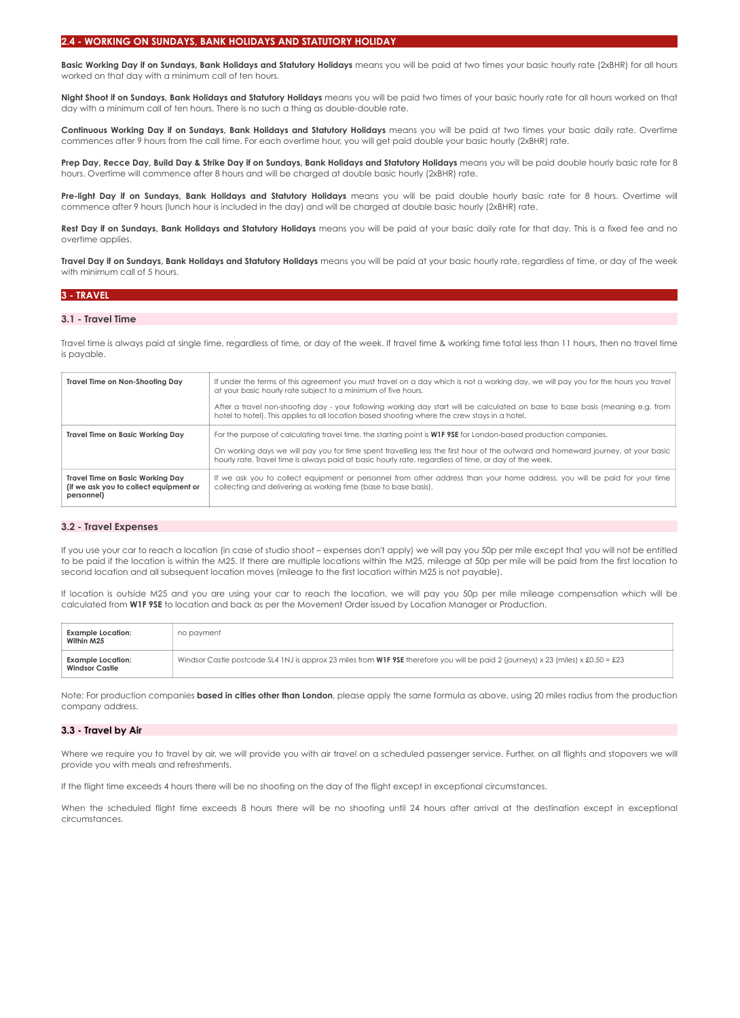Basic Working Day if on Sundays, Bank Holidays and Statutory Holidays means you will be paid at two times your basic hourly rate (2xBHR) for all hours worked on that day with a minimum call of ten hours.

**Night Shoot if on Sundays, Bank Holidays and Statutory Holidays** means you will be paid two times of your basic hourly rate for all hours worked on that day with a minimum call of ten hours. There is no such a thing as double-double rate.

**Continuous Working Day if on Sundays, Bank Holidays and Statutory Holidays** means you will be paid at two times your basic daily rate. Overtime commences after 9 hours from the call time. For each overtime hour, you will get paid double your basic hourly (2xBHR) rate.

Prep Day, Recce Day, Build Day & Strike Day if on Sundays, Bank Holidays and Statutory Holidays means you will be paid double hourly basic rate for 8 hours. Overtime will commence after 8 hours and will be charged at double basic hourly (2xBHR) rate.

**Pre-light Day if on Sundays, Bank Holidays and Statutory Holidays** means you will be paid double hourly basic rate for 8 hours. Overtime will commence after 9 hours (lunch hour is included in the day) and will be charged at double basic hourly (2xBHR) rate.

Rest Day if on Sundays, Bank Holidays and Statutory Holidays means you will be paid at your basic daily rate for that day. This is a fixed fee and no overtime applies.

**Travel Day if on Sundays, Bank Holidays and Statutory Holidays** means you will be paid at your basic hourly rate, regardless of time, or day of the week with minimum call of 5 hours.

## **3 - TRAVEL**

## **3.1 - Travel Time**

Travel time is always paid at single time, regardless of time, or day of the week. If travel time & working time total less than 11 hours, then no travel time is payable.

| Travel Time on Non-Shooting Day                                                                 | If under the terms of this agreement you must travel on a day which is not a working day, we will pay you for the hours you travel<br>at your basic hourly rate subject to a minimum of five hours.<br>After a travel non-shooting day - your following working day start will be calculated on base to base basis (meaning e.g. from<br>hotel to hotel). This applies to all location based shooting where the crew stays in a hotel. |
|-------------------------------------------------------------------------------------------------|----------------------------------------------------------------------------------------------------------------------------------------------------------------------------------------------------------------------------------------------------------------------------------------------------------------------------------------------------------------------------------------------------------------------------------------|
| <b>Travel Time on Basic Working Day</b>                                                         | For the purpose of calculating travel time, the starting point is <b>W1F 9SE</b> for London-based production companies.<br>On working days we will pay you for time spent travelling less the first hour of the outward and homeward journey, at your basic<br>hourly rate. Travel time is always paid at basic hourly rate, regardless of time, or day of the week.                                                                   |
| <b>Travel Time on Basic Working Day</b><br>(if we ask you to collect equipment or<br>personnel) | If we ask you to collect equipment or personnel from other address than your home address, you will be paid for your time<br>collecting and delivering as working time (base to base basis).                                                                                                                                                                                                                                           |

## **3.2 - Travel Expenses**

If you use your car to reach a location (in case of studio shoot – expenses don't apply) we will pay you 50p per mile except that you will not be entitled to be paid if the location is within the M25. If there are multiple locations within the M25, mileage at 50p per mile will be paid from the first location to second location and all subsequent location moves (mileage to the first location within M25 is not payable).

If location is outside M25 and you are using your car to reach the location, we will pay you 50p per mile mileage compensation which will be calculated from **W1F 9SE** to location and back as per the Movement Order issued by Location Manager or Production.

| <b>Example Location:</b><br>Within M25     | no payment                                                                                                                                |
|--------------------------------------------|-------------------------------------------------------------------------------------------------------------------------------------------|
| Example Location:<br><b>Windsor Castle</b> | Windsor Castle postcode SL4 1NJ is approx 23 miles from <b>W1F 9SE</b> therefore you will be paid 2 (journeys) x 23 (miles) x £0.50 = £23 |

Note: For production companies **based in cities other than London**, please apply the same formula as above, using 20 miles radius from the production company address.

## **3.3 - Travel by Air**

Where we require you to travel by air, we will provide you with air travel on a scheduled passenger service. Further, on all flights and stopovers we will provide you with meals and refreshments.

If the flight time exceeds 4 hours there will be no shooting on the day of the flight except in exceptional circumstances.

When the scheduled flight time exceeds 8 hours there will be no shooting until 24 hours after arrival at the destination except in exceptional circumstances.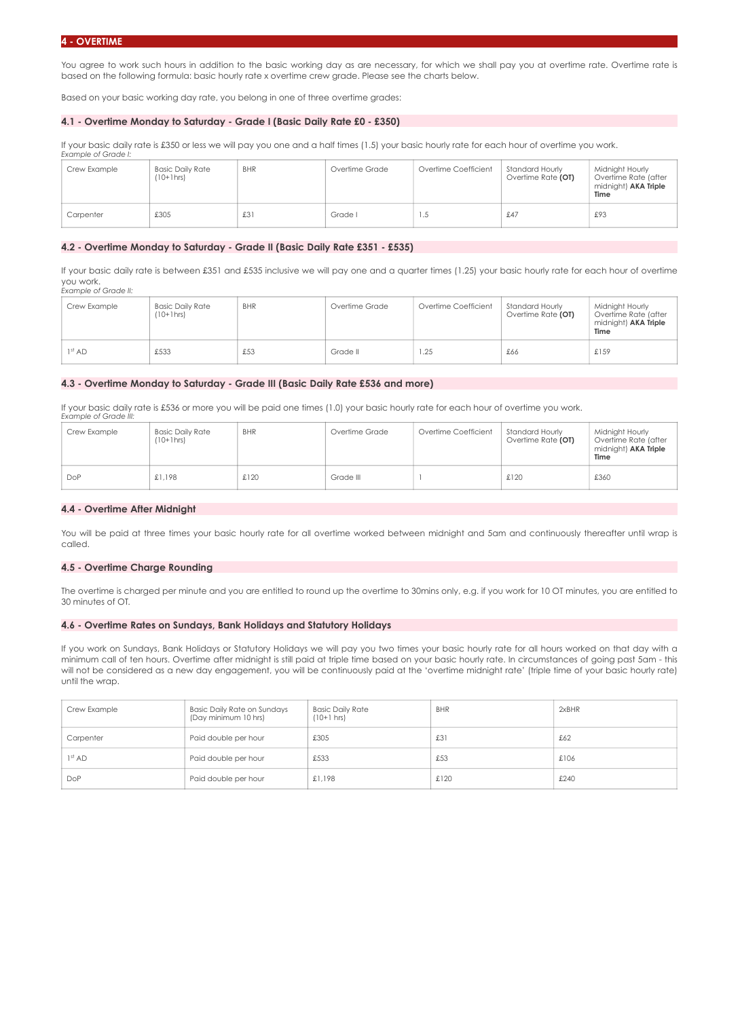You agree to work such hours in addition to the basic working day as are necessary, for which we shall pay you at overtime rate. Overtime rate is based on the following formula: basic hourly rate x overtime crew grade. Please see the charts below.

Based on your basic working day rate, you belong in one of three overtime grades:

## **4.1 - Overtime Monday to Saturday - Grade I (Basic Daily Rate £0 - £350)**

If your basic daily rate is £350 or less we will pay you one and a half times (1.5) your basic hourly rate for each hour of overtime you work. *Example of Grade I:* 

| Crew Example | <b>Basic Daily Rate</b><br>$(10+1)$ hrs | <b>BHR</b> | Overtime Grade | Overtime Coefficient | Standard Hourly<br>Overtime Rate (OT) | Midnight Hourly<br>Overtime Rate (after<br>midnight) AKA Triple<br>Time |
|--------------|-----------------------------------------|------------|----------------|----------------------|---------------------------------------|-------------------------------------------------------------------------|
| Carpenter    | £305                                    | £3         | Grade I        | د. ا                 | £47                                   | £93                                                                     |

## **4.2 - Overtime Monday to Saturday - Grade II (Basic Daily Rate £351 - £535)**

If your basic daily rate is between £351 and £535 inclusive we will pay one and a quarter times (1.25) your basic hourly rate for each hour of overtime you work. *Example of Grade II:* 

| Crew Example       | <b>Basic Daily Rate</b><br>$(10+1$ hrs) | <b>BHR</b> | Overtime Grade | Overtime Coefficient | Standard Hourly<br>Overtime Rate (OT) | Midnight Hourly<br>Overtime Rate (after<br>midnight) <b>AKA Triple</b><br>Time |
|--------------------|-----------------------------------------|------------|----------------|----------------------|---------------------------------------|--------------------------------------------------------------------------------|
| 1 <sup>st</sup> AD | £533                                    | £53        | Grade II       | 1.25                 | £66                                   | £159                                                                           |

## **4.3 - Overtime Monday to Saturday - Grade III (Basic Daily Rate £536 and more)**

If your basic daily rate is £536 or more you will be paid one times (1.0) your basic hourly rate for each hour of overtime you work. *Example of Grade III:* 

| Crew Example | Basic Daily Rate<br>$(10+1)$ hrs | <b>BHR</b> | Overtime Grade | Overtime Coefficient | Standard Hourly<br>Overtime Rate (OT) | Midnight Hourly<br>Overtime Rate (after<br>midnight) <b>AKA Triple</b><br>Time |
|--------------|----------------------------------|------------|----------------|----------------------|---------------------------------------|--------------------------------------------------------------------------------|
| <b>DoP</b>   | £1,198                           | £120       | Grade III      |                      | £120                                  | £360                                                                           |

## **4.4 - Overtime After Midnight**

You will be paid at three times your basic hourly rate for all overtime worked between midnight and 5am and continuously thereafter until wrap is called.

#### **4.5 - Overtime Charge Rounding**

The overtime is charged per minute and you are entitled to round up the overtime to 30mins only, e.g. if you work for 10 OT minutes, you are entitled to 30 minutes of OT.

#### **4.6 - Overtime Rates on Sundays, Bank Holidays and Statutory Holidays**

If you work on Sundays, Bank Holidays or Statutory Holidays we will pay you two times your basic hourly rate for all hours worked on that day with a minimum call of ten hours. Overtime after midnight is still paid at triple time based on your basic hourly rate. In circumstances of going past 5am - this will not be considered as a new day engagement, you will be continuously paid at the 'overtime midnight rate' (triple time of your basic hourly rate) until the wrap.

| Crew Example       | Basic Daily Rate on Sundays<br>(Day minimum 10 hrs) | <b>Basic Daily Rate</b><br>$(10+1$ hrs) | <b>BHR</b> | 2xBHR |
|--------------------|-----------------------------------------------------|-----------------------------------------|------------|-------|
| Carpenter          | Paid double per hour                                | £305                                    | £31        | £62   |
| 1 <sup>st</sup> AD | Paid double per hour                                | £533                                    | £53        | £106  |
| <b>DoP</b>         | Paid double per hour                                | £1.198                                  | £120       | £240  |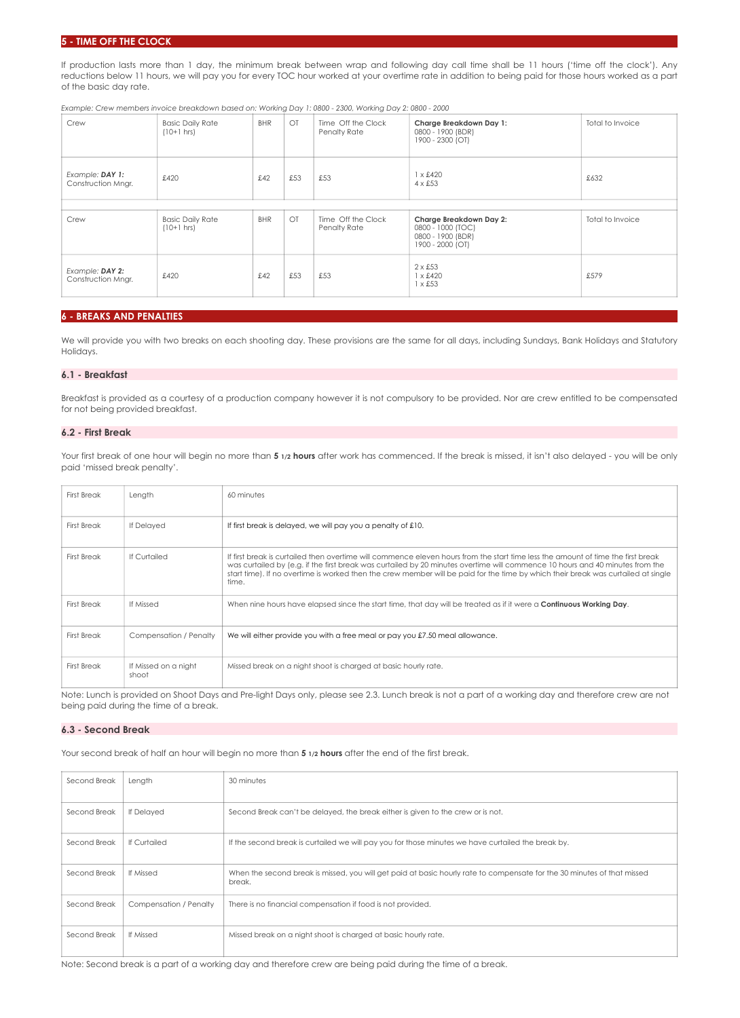## **TIME OFF THE CLOCK**

If production lasts more than 1 day, the minimum break between wrap and following day call time shall be 11 hours ('time off the clock'). Any reductions below 11 hours, we will pay you for every TOC hour worked at your overtime rate in addition to being paid for those hours worked as a part of the basic day rate.

*Example: Crew members invoice breakdown based on: Working Day 1: 0800 - 2300, Working Day 2: 0800 - 2000* 

| Crew                                  | <b>Basic Daily Rate</b><br>$(10+1$ hrs) | <b>BHR</b> | OT  | Time Off the Clock<br>Penalty Rate | Charge Breakdown Day 1:<br>0800 - 1900 (BDR)<br>1900 - 2300 (OT)                      | Total to Invoice |
|---------------------------------------|-----------------------------------------|------------|-----|------------------------------------|---------------------------------------------------------------------------------------|------------------|
| Example: DAY 1:<br>Construction Mngr. | £53<br>£53<br>£42<br>£420               |            |     | $1 \times £420$<br>$4 \times £53$  | £632                                                                                  |                  |
|                                       |                                         |            |     |                                    |                                                                                       |                  |
| Crew                                  | <b>Basic Daily Rate</b><br>$(10+1$ hrs) | <b>BHR</b> | OT  | Time Off the Clock<br>Penalty Rate | Charge Breakdown Day 2:<br>0800 - 1000 (TOC)<br>0800 - 1900 (BDR)<br>1900 - 2000 (OT) | Total to Invoice |
| Example: DAY 2:<br>Construction Mngr. | £420                                    | £42        | £53 | £53                                | $2 \times £53$<br>$1 \times £420$<br>$1 \times £53$                                   | £579             |

## **6 - BREAKS AND PENALTIES**

We will provide you with two breaks on each shooting day. These provisions are the same for all days, including Sundays, Bank Holidays and Statutory Holidays.

## **6.1 - Breakfast**

Breakfast is provided as a courtesy of a production company however it is not compulsory to be provided. Nor are crew entitled to be compensated for not being provided breakfast.

## **6.2 - First Break**

Your first break of one hour will begin no more than 5 1/2 hours after work has commenced. If the break is missed, it isn't also delayed - you will be only paid 'missed break penalty'.

| <b>First Break</b> | Length                        | 60 minutes                                                                                                                                                                                                                                                                                                                                                                                                      |
|--------------------|-------------------------------|-----------------------------------------------------------------------------------------------------------------------------------------------------------------------------------------------------------------------------------------------------------------------------------------------------------------------------------------------------------------------------------------------------------------|
| <b>First Break</b> | If Delayed                    | If first break is delayed, we will pay you a penalty of £10.                                                                                                                                                                                                                                                                                                                                                    |
| <b>First Break</b> | If Curtailed                  | If first break is curtailed then overtime will commence eleven hours from the start time less the amount of time the first break<br>was curtailed by (e.g. if the first break was curtailed by 20 minutes overtime will commence 10 hours and 40 minutes from the<br>start time). If no overtime is worked then the crew member will be paid for the time by which their break was curtailed at single<br>time. |
| <b>First Break</b> | If Missed                     | When nine hours have elapsed since the start time, that day will be treated as if it were a <b>Continuous Working Day</b> .                                                                                                                                                                                                                                                                                     |
| <b>First Break</b> | Compensation / Penalty        | We will either provide you with a free meal or pay you £7.50 meal allowance.                                                                                                                                                                                                                                                                                                                                    |
| <b>First Break</b> | If Missed on a night<br>shoot | Missed break on a night shoot is charged at basic hourly rate.                                                                                                                                                                                                                                                                                                                                                  |

Note: Lunch is provided on Shoot Days and Pre-light Days only, please see 2.3. Lunch break is not a part of a working day and therefore crew are not being paid during the time of a break.

## **6.3 - Second Break**

Your second break of half an hour will begin no more than **5** 1/2 hours after the end of the first break.

| Second Break | Length                 | 30 minutes                                                                                                                        |
|--------------|------------------------|-----------------------------------------------------------------------------------------------------------------------------------|
| Second Break | If Delayed             | Second Break can't be delayed, the break either is given to the crew or is not.                                                   |
| Second Break | If Curtailed           | If the second break is curtailed we will pay you for those minutes we have curtailed the break by.                                |
| Second Break | If Missed              | When the second break is missed, you will get paid at basic hourly rate to compensate for the 30 minutes of that missed<br>break. |
| Second Break | Compensation / Penalty | There is no financial compensation if food is not provided.                                                                       |
| Second Break | If Missed              | Missed break on a night shoot is charged at basic hourly rate.                                                                    |

Note: Second break is a part of a working day and therefore crew are being paid during the time of a break.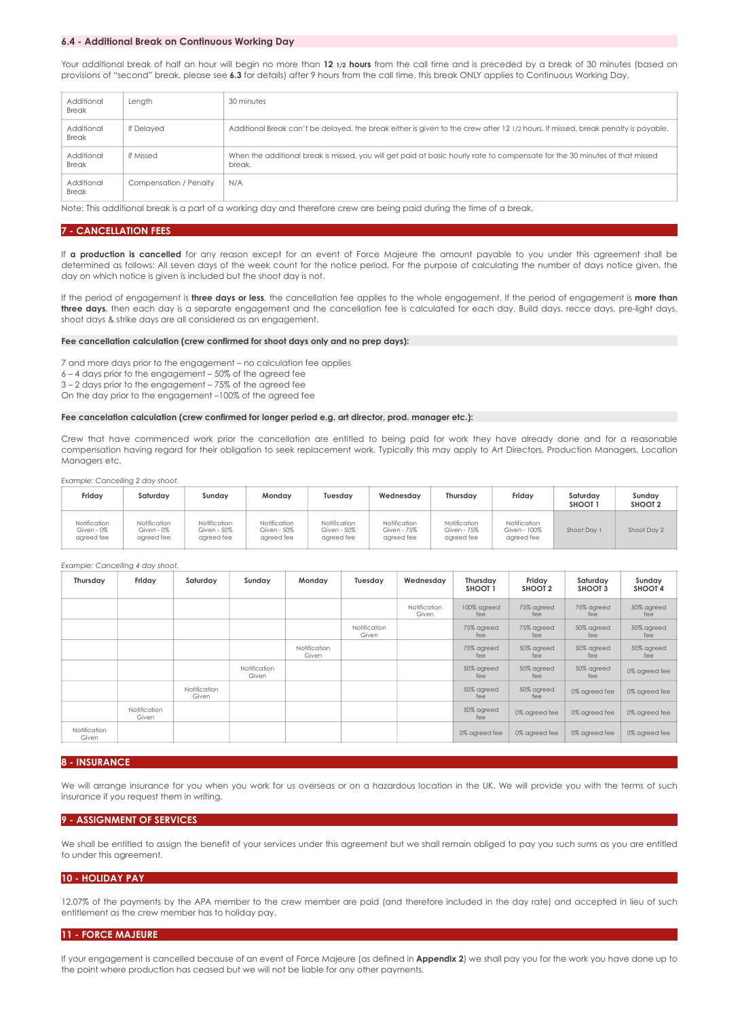#### **6.4 - Additional Break on Continuous Working Day**

Your additional break of half an hour will begin no more than **12 1/2 hours** from the call time and is preceded by a break of 30 minutes (based on provisions of "second" break, please see **6.3** for details) after 9 hours from the call time, this break ONLY applies to Continuous Working Day.

| Additional<br><b>Break</b> | Length                 | 30 minutes                                                                                                                            |
|----------------------------|------------------------|---------------------------------------------------------------------------------------------------------------------------------------|
| Additional<br><b>Break</b> | If Delayed             | Additional Break can't be delayed, the break either is given to the crew after 12 1/2 hours. If missed, break penalty is payable.     |
| Additional<br><b>Break</b> | If Missed              | When the additional break is missed, you will get paid at basic hourly rate to compensate for the 30 minutes of that missed<br>break. |
| Additional<br><b>Break</b> | Compensation / Penalty | N/A                                                                                                                                   |

Note: This additional break is a part of a working day and therefore crew are being paid during the time of a break.

#### **7 - CANCELLATION FEES**

If **a production is cancelled** for any reason except for an event of Force Majeure the amount payable to you under this agreement shall be determined as follows: All seven days of the week count for the notice period. For the purpose of calculating the number of days notice given, the day on which notice is given is included but the shoot day is not.

If the period of engagement is **three days or less**, the cancellation fee applies to the whole engagement. If the period of engagement is **more than three days**, then each day is a separate engagement and the cancellation fee is calculated for each day. Build days, recce days, pre-light days, shoot days & strike days are all considered as an engagement.

#### **Fee cancellation calculation (crew confirmed for shoot days only and no prep days):**

7 and more days prior to the engagement – no calculation fee applies

6 – 4 days prior to the engagement – 50% of the agreed fee

3 – 2 days prior to the engagement – 75% of the agreed fee

On the day prior to the engagement –100% of the agreed fee

#### **Fee cancelation calculation (crew confirmed for longer period e.g. art director, prod. manager etc.):**

Crew that have commenced work prior the cancellation are entitled to being paid for work they have already done and for a reasonable compensation having regard for their obligation to seek replacement work. Typically this may apply to Art Directors, Production Managers, Location Managers etc.

*Example: Cancelling 2 day shoot.* 

| Fridav                                   | Saturdav                                 | Sundav                                    | Mondav                                    | Tuesdav                                   | Wednesday                                 | Thursdav                                  | Friday                                     | Saturday<br>SHOOT <sub>1</sub> | Sundav<br>SHOOT <sub>2</sub> |
|------------------------------------------|------------------------------------------|-------------------------------------------|-------------------------------------------|-------------------------------------------|-------------------------------------------|-------------------------------------------|--------------------------------------------|--------------------------------|------------------------------|
| Notification<br>Given - 0%<br>aareed fee | Notification<br>Given - 0%<br>aareed fee | Notification<br>Given - 50%<br>aareed fee | Notification<br>Given - 50%<br>aareed fee | Notification<br>Given - 50%<br>aareed fee | Notification<br>Given - 75%<br>aareed fee | Notification<br>Given - 75%<br>aareed fee | Notification<br>Given - 100%<br>aareed fee | Shoot Day 1                    | Shoot Day 2                  |

#### *Example: Cancelling 4 day shoot.*

| Thursday              | Friday                | Saturday              | Sunday                | Monday                | Tuesday               | Wednesdav             | Thursday<br>SHOOT <sub>1</sub> | Friday<br>SHOOT <sub>2</sub> | Saturday<br>SHOOT 3 | Sunday<br>SHOOT 4 |
|-----------------------|-----------------------|-----------------------|-----------------------|-----------------------|-----------------------|-----------------------|--------------------------------|------------------------------|---------------------|-------------------|
|                       |                       |                       |                       |                       |                       | Notification<br>Given | 100% agreed<br>fee             | 75% agreed<br>fee            | 75% agreed<br>fee   | 50% agreed<br>fee |
|                       |                       |                       |                       |                       | Notification<br>Given |                       | 75% agreed<br>fee              | 75% agreed<br>fee            | 50% agreed<br>fee   | 50% agreed<br>fee |
|                       |                       |                       |                       | Notification<br>Given |                       |                       | 75% agreed<br>fee              | 50% agreed<br>fee            | 50% agreed<br>fee   | 50% agreed<br>fee |
|                       |                       |                       | Notification<br>Given |                       |                       |                       | 50% agreed<br>fee              | 50% agreed<br>fee            | 50% agreed<br>fee   | 0% agreed fee     |
|                       |                       | Notification<br>Given |                       |                       |                       |                       | 50% agreed<br>fee              | 50% agreed<br>fee            | 0% agreed fee       | 0% agreed fee     |
|                       | Notification<br>Given |                       |                       |                       |                       |                       | 50% agreed<br>fee              | 0% agreed fee                | 0% agreed fee       | 0% agreed fee     |
| Notification<br>Given |                       |                       |                       |                       |                       |                       | 0% agreed fee                  | 0% agreed fee                | 0% agreed fee       | 0% agreed fee     |

#### **8 - INSURANCE**

We will arrange insurance for you when you work for us overseas or on a hazardous location in the UK. We will provide you with the terms of such insurance if you request them in writing.

#### **9 - ASSIGNMENT OF SERVICES**

We shall be entitled to assign the benefit of your services under this agreement but we shall remain obliged to pay you such sums as you are entitled to under this agreement.

#### **10 - HOLIDAY PAY**

12.07% of the payments by the APA member to the crew member are paid (and therefore included in the day rate) and accepted in lieu of such entitlement as the crew member has to holiday pay.

#### **11 - FORCE MAJEURE**

If your engagement is cancelled because of an event of Force Majeure (as defined in **Appendix 2**) we shall pay you for the work you have done up to the point where production has ceased but we will not be liable for any other payments.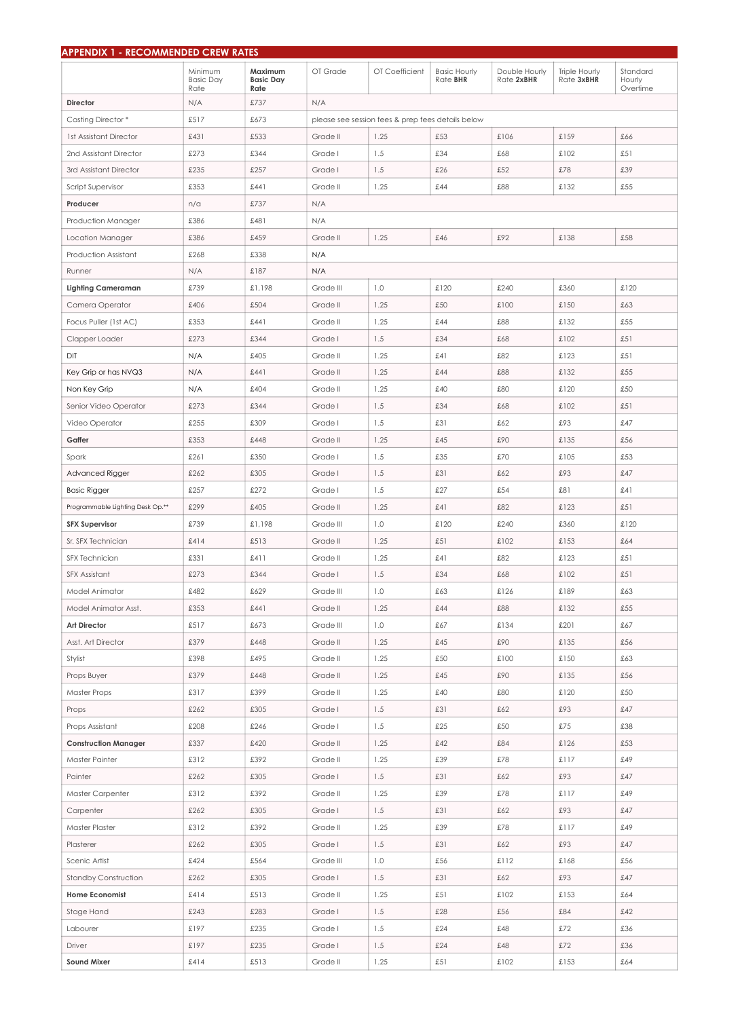| <b>APPENDIX 1 - RECOMMENDED CREW RATES</b> |                                     |                                     |                                                   |                |                                        |                             |                                    |                                |  |  |
|--------------------------------------------|-------------------------------------|-------------------------------------|---------------------------------------------------|----------------|----------------------------------------|-----------------------------|------------------------------------|--------------------------------|--|--|
|                                            | Minimum<br><b>Basic Day</b><br>Rate | Maximum<br><b>Basic Day</b><br>Rate | OT Grade                                          | OT Coefficient | <b>Basic Hourly</b><br>Rate <b>BHR</b> | Double Hourly<br>Rate 2xBHR | <b>Triple Hourly</b><br>Rate 3xBHR | Standard<br>Hourly<br>Overtime |  |  |
| <b>Director</b><br>N/A                     |                                     | £737                                | N/A                                               |                |                                        |                             |                                    |                                |  |  |
| Casting Director*<br>£517                  |                                     | £673                                | please see session fees & prep fees details below |                |                                        |                             |                                    |                                |  |  |
| <b>1st Assistant Director</b>              | £431                                | £533                                | Grade II                                          | 1.25           | £53                                    | £106                        | £159                               | £66                            |  |  |
| 2nd Assistant Director                     | £273                                | £344                                | Grade I                                           | 1.5            | £34                                    | £68                         | £102                               | £51                            |  |  |
| 3rd Assistant Director                     | £235                                | £257                                | Grade I                                           | 1.5            | £26                                    | £52                         | £78                                | £39                            |  |  |
| <b>Script Supervisor</b>                   | £353                                | £441                                | Grade II                                          | 1.25           | £44                                    | £88                         | £132                               | £55                            |  |  |
| Producer                                   | n/a                                 | £737                                | N/A                                               |                |                                        |                             |                                    |                                |  |  |
| Production Manager                         | £386                                | £481                                | N/A                                               |                |                                        |                             |                                    |                                |  |  |
| Location Manager                           | £386                                | £459                                | Grade II                                          | 1.25           | £46                                    | £92                         | £138                               | £58                            |  |  |
| Production Assistant                       | £268                                | £338                                | N/A                                               |                |                                        |                             |                                    |                                |  |  |
| Runner                                     | N/A                                 | £187                                | N/A                                               |                |                                        |                             |                                    |                                |  |  |
| <b>Lighting Cameraman</b>                  | £739                                | £1,198                              | Grade III                                         | 1.0            | £120                                   | £240                        | £360                               | £120                           |  |  |
| Camera Operator                            | £406                                | £504                                | Grade II                                          | 1.25           | £50                                    | £100                        | £150                               | £63                            |  |  |
| Focus Puller (1st AC)                      | £353                                | £441                                | Grade II                                          | 1.25           | £44                                    | £88                         | £132                               | £55                            |  |  |
| Clapper Loader                             | £273                                | £344                                | Grade I                                           | 1.5            | £34                                    | £68                         | £102                               | £51                            |  |  |
| DIT                                        | N/A                                 | £405                                | Grade II                                          | 1.25           | £41                                    | £82                         | £123                               | £51                            |  |  |
| Key Grip or has NVQ3                       | N/A                                 | £441                                | Grade II                                          | 1.25           | £44                                    | £88                         | £132                               | £55                            |  |  |
| Non Key Grip                               | N/A                                 | £404                                | Grade II                                          | 1.25           | £40                                    | £80                         | £120                               | £50                            |  |  |
| Senior Video Operator                      | £273                                | £344                                | Grade I                                           | 1.5            | £34                                    | £68                         | £102                               | £51                            |  |  |
| Video Operator                             | £255                                | £309                                | Grade I                                           | 1.5            | £31                                    | £62                         | £93                                | £47                            |  |  |
| Gaffer                                     | £353                                | £448                                | Grade II                                          | 1.25           | £45                                    | £90                         | £135                               | £56                            |  |  |
| Spark                                      | £261                                | £350                                | Grade I                                           | 1.5            | £35                                    | £70                         | £105                               | £53                            |  |  |
| Advanced Rigger                            | £262                                | £305                                | Grade I                                           | 1.5            | £31                                    | £62                         | £93                                | £47                            |  |  |
| <b>Basic Rigger</b>                        | £257                                | £272                                | Grade I                                           | 1.5            | £27                                    | £54                         | £81                                | £41                            |  |  |
| Programmable Lighting Desk Op.**           | £299                                | £405                                | Grade II                                          | 1.25           | £41                                    | £82                         | £123                               | £51                            |  |  |
| <b>SFX Supervisor</b>                      | £739                                | £1,198                              | Grade III                                         | 1.0            | £120                                   | £240                        | £360                               | £120                           |  |  |
| Sr. SFX Technician                         | £414                                | £513                                | Grade II                                          | 1.25           | £51                                    | £102                        | £153                               | £64                            |  |  |
| <b>SFX Technician</b>                      | £331                                | £411                                | Grade II                                          | 1.25           | £41                                    | £82                         | £123                               | £51                            |  |  |
| <b>SFX Assistant</b>                       | £273                                | £344                                | Grade I                                           | 1.5            | £34                                    | £68                         | £102                               | £51                            |  |  |
| Model Animator                             | £482                                | £629                                | Grade III                                         | 1.0            | £63                                    | £126                        | £189                               | £63                            |  |  |
| Model Animator Asst.                       | £353                                | £441                                | Grade II                                          | 1.25           | £44                                    | £88                         | £132                               | £55                            |  |  |
| <b>Art Director</b>                        | £517                                | £673                                | Grade III                                         | 1.0            | £67                                    | £134                        | £201                               | £67                            |  |  |
| Asst. Art Director                         | £379                                | £448                                | Grade II                                          | 1.25           | £45                                    | £90                         | £135                               | £56                            |  |  |
| Stylist                                    | £398                                | £495                                | Grade II                                          | 1.25           | £50                                    | £100                        | £150                               | £63                            |  |  |
| Props Buyer                                | £379                                | £448                                | Grade II                                          | 1.25           | £45                                    | £90                         | £135                               | £56                            |  |  |
| <b>Master Props</b>                        | £317                                | £399                                | Grade II                                          | 1.25           | £40                                    | £80                         | £120                               | £50                            |  |  |
| Props                                      | £262                                | £305                                | Grade I                                           | 1.5            | £31                                    | £62                         | £93                                | £47                            |  |  |
| Props Assistant                            | £208                                | £246                                | Grade I                                           | 1.5            | £25                                    | £50                         | £75                                | £38                            |  |  |
| <b>Construction Manager</b>                | £337                                | £420                                | Grade II                                          | 1.25           | £42                                    | £84                         | £126                               | £53                            |  |  |
| Master Painter                             | £312                                | £392                                | Grade II                                          | 1.25           | £39                                    | £78                         | £117                               | £49                            |  |  |
| Painter                                    | £262                                | £305                                | Grade I                                           | 1.5            | £31                                    | £62                         | £93                                | £47                            |  |  |
| Master Carpenter                           | £312                                | £392                                | Grade II                                          | 1.25           | £39                                    | £78                         | £117                               | £49                            |  |  |
| Carpenter                                  | £262                                | £305                                | Grade I                                           | 1.5            | £31                                    | £62                         | £93                                | £47                            |  |  |
| Master Plaster                             | £312                                | £392                                | Grade II                                          | 1.25           | £39                                    | £78                         | £117                               | £49                            |  |  |
| Plasterer                                  | £262                                | £305                                | Grade I                                           | 1.5            | £31                                    | £62                         | £93                                | £47                            |  |  |
| Scenic Artist                              | £424                                | £564                                | Grade III                                         | 1.0            | £56                                    | £112                        | £168                               | £56                            |  |  |
| Standby Construction                       | £262                                | £305                                | Grade I                                           | 1.5            | £31                                    | £62                         | £93                                | £47                            |  |  |
| Home Economist                             | £414                                | £513                                | Grade II                                          | 1.25           | £51                                    | £102                        | £153                               | £64                            |  |  |
| Stage Hand                                 | £243                                | £283                                | Grade I                                           | 1.5            | £28                                    | £56                         | £84                                | £42                            |  |  |
| Labourer                                   | £197                                | £235                                | Grade I                                           | 1.5            | £24                                    | £48                         | £72                                | £36                            |  |  |
| Driver                                     | £197                                | £235                                | Grade I                                           | 1.5            | £24                                    | £48                         | £72                                | £36                            |  |  |
| <b>Sound Mixer</b>                         | £414                                | £513                                | Grade II                                          | 1.25           | £51                                    | £102                        | £153                               | £64                            |  |  |
|                                            |                                     |                                     |                                                   |                |                                        |                             |                                    |                                |  |  |